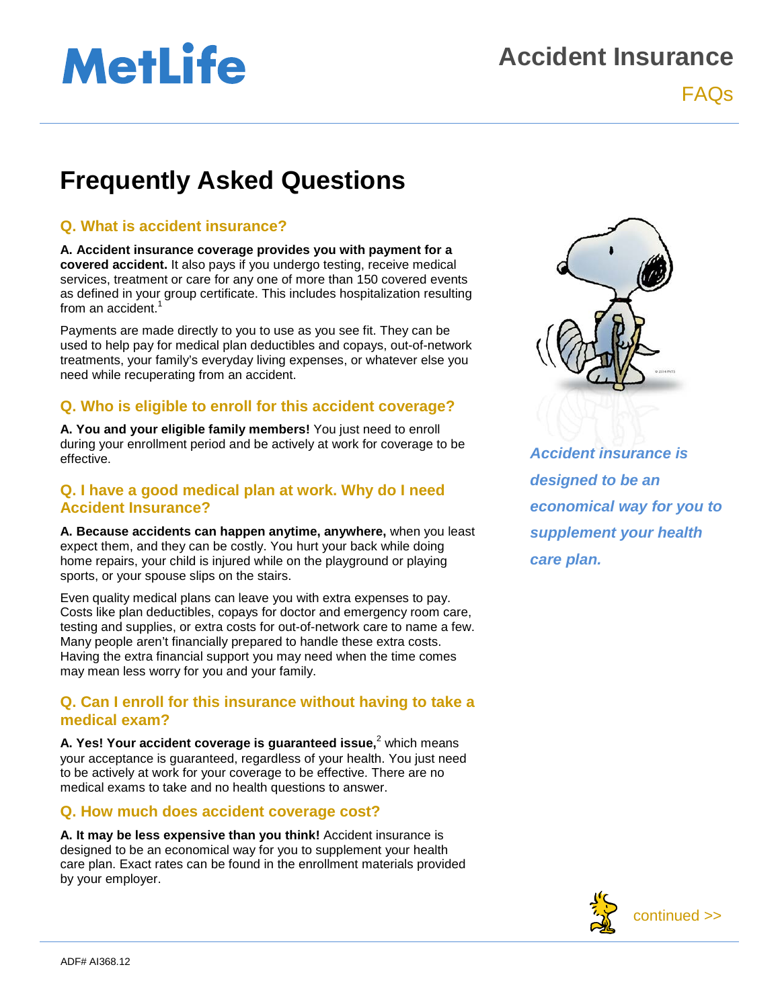# **MetLife**

# **Accident Insurance**

FAQs

# **Frequently Asked Questions**

## **Q. What is accident insurance?**

**A. Accident insurance coverage provides you with payment for a covered accident.** It also pays if you undergo testing, receive medical services, treatment or care for any one of more than 150 covered events as defined in your group certificate. This includes hospitalization resulting from an accident.<sup>1</sup>

Payments are made directly to you to use as you see fit. They can be used to help pay for medical plan deductibles and copays, out-of-network treatments, your family's everyday living expenses, or whatever else you need while recuperating from an accident.

## **Q. Who is eligible to enroll for this accident coverage?**

**A. You and your eligible family members!** You just need to enroll during your enrollment period and be actively at work for coverage to be effective.

#### **Q. I have a good medical plan at work. Why do I need Accident Insurance?**

**A. Because accidents can happen anytime, anywhere,** when you least expect them, and they can be costly. You hurt your back while doing home repairs, your child is injured while on the playground or playing sports, or your spouse slips on the stairs.

Even quality medical plans can leave you with extra expenses to pay. Costs like plan deductibles, copays for doctor and emergency room care, testing and supplies, or extra costs for out-of-network care to name a few. Many people aren't financially prepared to handle these extra costs. Having the extra financial support you may need when the time comes may mean less worry for you and your family.

### **Q. Can I enroll for this insurance without having to take a medical exam?**

**A. Yes! Your accident coverage is guaranteed issue,<sup>2</sup> which means** your acceptance is guaranteed, regardless of your health. You just need to be actively at work for your coverage to be effective. There are no medical exams to take and no health questions to answer.

#### **Q. How much does accident coverage cost?**

**A. It may be less expensive than you think!** Accident insurance is designed to be an economical way for you to supplement your health care plan. Exact rates can be found in the enrollment materials provided by your employer.



*Accident insurance is designed to be an economical way for you to supplement your health care plan.*